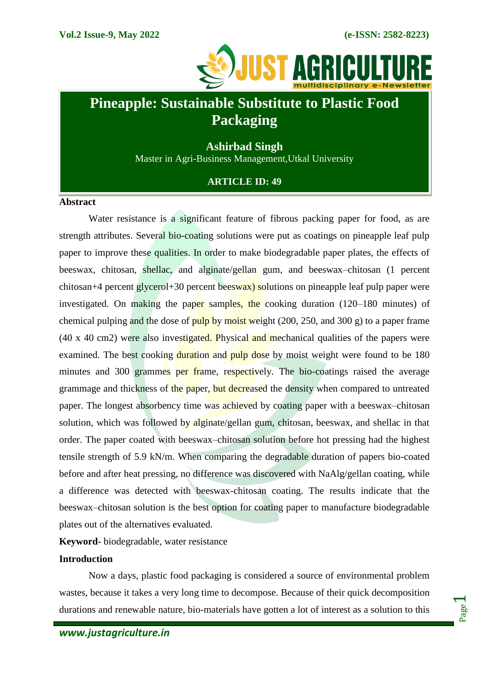

## **Pineapple: Sustainable Substitute to Plastic Food Packaging**

**Ashirbad Singh** Master in Agri-Business Management,Utkal University

**ARTICLE ID: 49**

## **Abstract**

Water resistance is a significant feature of fibrous packing paper for food, as are strength attributes. Several bio-coating solutions were put as coatings on pineapple leaf pulp paper to improve these qualities. In order to make biodegradable paper plates, the effects of beeswax, chitosan, shellac, and alginate/gellan gum, and beeswax–chitosan (1 percent chitosan+4 percent glycerol+30 percent beeswax) solutions on pineapple leaf pulp paper were investigated. On making the paper samples, the cooking duration (120–180 minutes) of chemical pulping and the dose of pulp by moist weight (200, 250, and 300 g) to a paper frame  $(40 \times 40 \text{ cm})$  were also investigated. Physical and mechanical qualities of the papers were examined. The best cooking duration and pulp dose by moist weight were found to be 180 minutes and 300 grammes per frame, respectively. The bio-coatings raised the average grammage and thickness of the paper, but decreased the density when compared to untreated paper. The longest absorbency time was achieved by coating paper with a beeswax–chitosan solution, which was followed by alginate/gellan gum, chitosan, beeswax, and shellac in that order. The paper coated with beeswax–chitosan solution before hot pressing had the highest tensile strength of 5.9 kN/m. When comparing the degradable duration of papers bio-coated before and after heat pressing, no difference was discovered with NaAlg/gellan coating, while a difference was detected with beeswax-chitosan coating. The results indicate that the beeswax–chitosan solution is the best option for coating paper to manufacture biodegradable plates out of the alternatives evaluated.

**Keyword-** biodegradable, water resistance

## **Introduction**

Now a days, plastic food packaging is considered a source of environmental problem wastes, because it takes a very long time to decompose. Because of their quick decomposition durations and renewable nature, bio-materials have gotten a lot of interest as a solution to this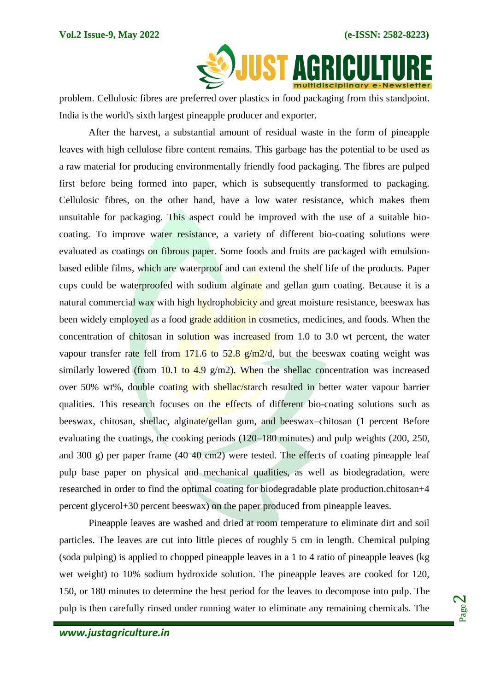

problem. Cellulosic fibres are preferred over plastics in food packaging from this standpoint. India is the world's sixth largest pineapple producer and exporter.

After the harvest, a substantial amount of residual waste in the form of pineapple leaves with high cellulose fibre content remains. This garbage has the potential to be used as a raw material for producing environmentally friendly food packaging. The fibres are pulped first before being formed into paper, which is subsequently transformed to packaging. Cellulosic fibres, on the other hand, have a low water resistance, which makes them unsuitable for packaging. This aspect could be improved with the use of a suitable biocoating. To improve water resistance, a variety of different bio-coating solutions were evaluated as coatings on fibrous paper. Some foods and fruits are packaged with emulsionbased edible films, which are waterproof and can extend the shelf life of the products. Paper cups could be waterproofed with sodium alginate and gellan gum coating. Because it is a natural commercial wax with high hydrophobicity and great moisture resistance, beeswax has been widely employed as a food grade addition in cosmetics, medicines, and foods. When the concentration of chitosan in solution was increased from 1.0 to 3.0 wt percent, the water vapour transfer rate fell from  $171.6$  to  $52.8$  g/m $2/d$ , but the beeswax coating weight was similarly lowered (from 10.1 to 4.9 g/m2). When the shellac concentration was increased over 50% wt%, double coating with shellac/starch resulted in better water vapour barrier qualities. This research focuses on the effects of different bio-coating solutions such as beeswax, chitosan, shellac, alginate/gellan gum, and beeswax–chitosan (1 percent Before evaluating the coatings, the cooking periods (120–180 minutes) and pulp weights (200, 250, and 300 g) per paper frame (40 40 cm2) were tested. The effects of coating pineapple leaf pulp base paper on physical and mechanical qualities, as well as biodegradation, were researched in order to find the optimal coating for biodegradable plate production.chitosan+4 percent glycerol+30 percent beeswax) on the paper produced from pineapple leaves.

Pineapple leaves are washed and dried at room temperature to eliminate dirt and soil particles. The leaves are cut into little pieces of roughly 5 cm in length. Chemical pulping (soda pulping) is applied to chopped pineapple leaves in a 1 to 4 ratio of pineapple leaves (kg wet weight) to 10% sodium hydroxide solution. The pineapple leaves are cooked for 120, 150, or 180 minutes to determine the best period for the leaves to decompose into pulp. The pulp is then carefully rinsed under running water to eliminate any remaining chemicals. The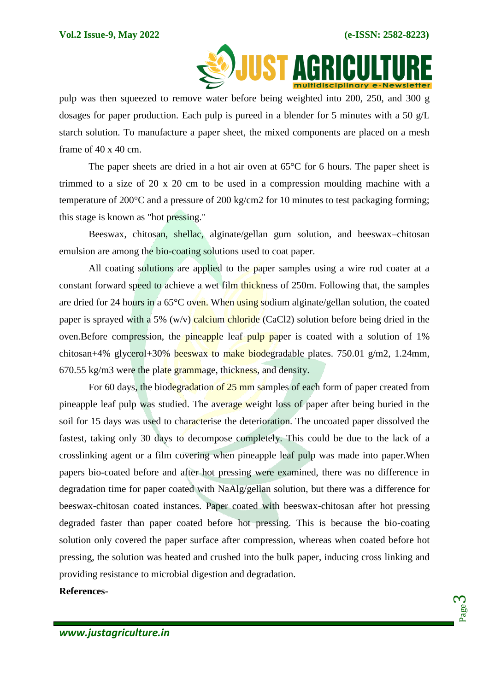

pulp was then squeezed to remove water before being weighted into 200, 250, and 300 g dosages for paper production. Each pulp is pureed in a blender for 5 minutes with a 50 g/L starch solution. To manufacture a paper sheet, the mixed components are placed on a mesh frame of  $40 \times 40$  cm.

The paper sheets are dried in a hot air oven at 65°C for 6 hours. The paper sheet is trimmed to a size of 20 x 20 cm to be used in a compression moulding machine with a temperature of 200°C and a pressure of 200 kg/cm2 for 10 minutes to test packaging forming; this stage is known as "hot pressing."

Beeswax, chitosan, shellac, alginate/gellan gum solution, and beeswax–chitosan emulsion are among the bio-coating solutions used to coat paper.

All coating solutions are applied to the paper samples using a wire rod coater at a constant forward speed to achieve a wet film thickness of 250m. Following that, the samples are dried for 24 hours in a 65°C oven. When using sodium alginate/gellan solution, the coated paper is sprayed with a 5% (w/y) calcium chloride (CaCl2) solution before being dried in the oven.Before compression, the pineapple leaf pulp paper is coated with a solution of 1% chitosan+4% glycerol+30% beeswax to make biodegradable plates. 750.01 g/m2, 1.24mm, 670.55 kg/m3 were the plate grammage, thickness, and density.

For 60 days, the biodegradation of 25 mm samples of each form of paper created from pineapple leaf pulp was studied. The average weight loss of paper after being buried in the soil for 15 days was used to characterise the deterioration. The uncoated paper dissolved the fastest, taking only 30 days to decompose completely. This could be due to the lack of a crosslinking agent or a film covering when pineapple leaf pulp was made into paper.When papers bio-coated before and after hot pressing were examined, there was no difference in degradation time for paper coated with NaAlg/gellan solution, but there was a difference for beeswax-chitosan coated instances. Paper coated with beeswax-chitosan after hot pressing degraded faster than paper coated before hot pressing. This is because the bio-coating solution only covered the paper surface after compression, whereas when coated before hot pressing, the solution was heated and crushed into the bulk paper, inducing cross linking and providing resistance to microbial digestion and degradation.

## **References-**